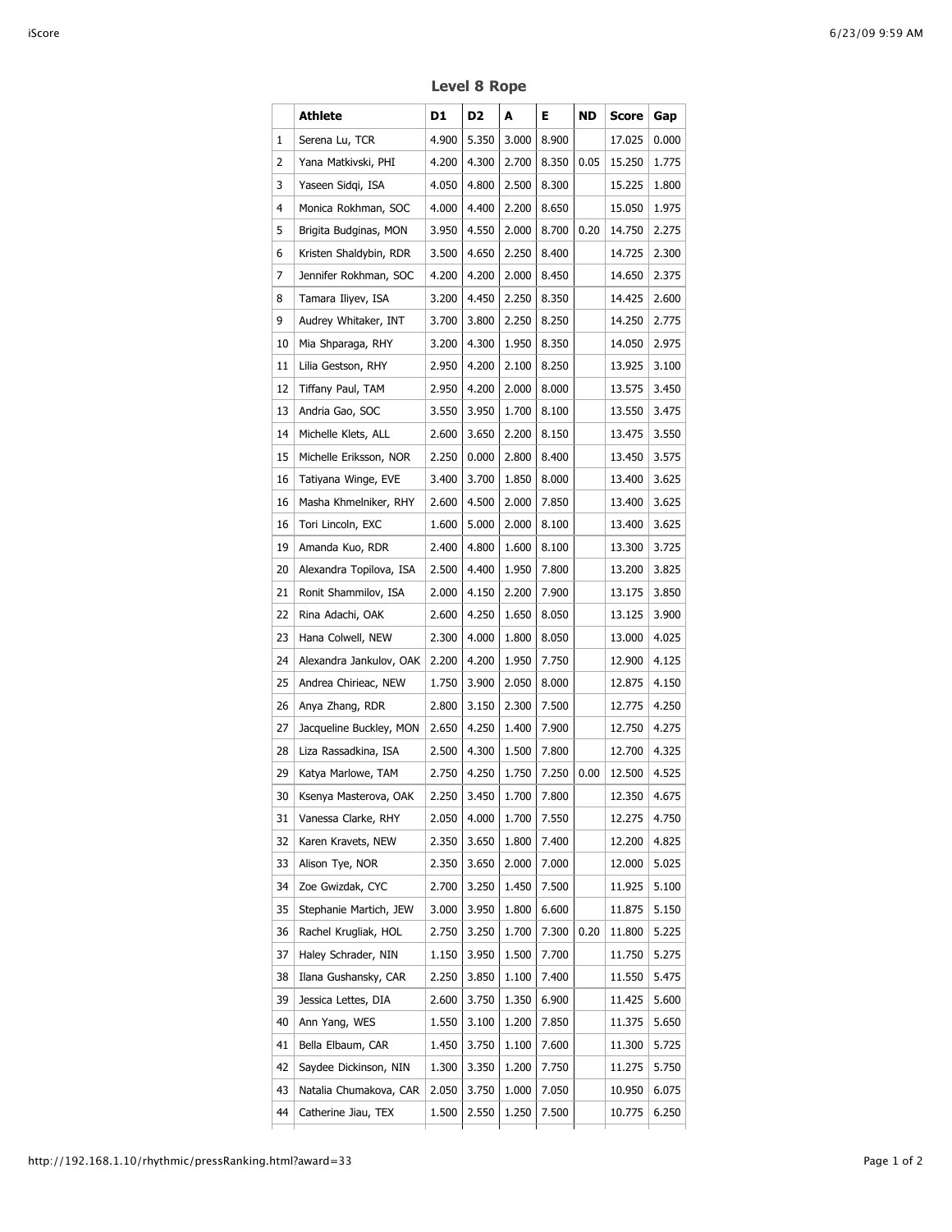|    | Athlete                 | D1    | D2    | A           | Е.    | ND   | Score        | Gap   |
|----|-------------------------|-------|-------|-------------|-------|------|--------------|-------|
| 1  | Serena Lu, TCR          | 4.900 | 5.350 | 3.000       | 8.900 |      | 17.025       | 0.000 |
| 2  | Yana Matkivski, PHI     | 4.200 | 4.300 | 2.700       | 8.350 | 0.05 | 15.250       | 1.775 |
| 3  | Yaseen Sidgi, ISA       | 4.050 | 4.800 | 2.500       | 8.300 |      | 15.225       | 1.800 |
| 4  | Monica Rokhman, SOC     | 4.000 | 4.400 | 2.200       | 8.650 |      | 15.050       | 1.975 |
| 5  | Brigita Budginas, MON   | 3.950 | 4.550 | 2.000       | 8.700 | 0.20 | 14.750       | 2.275 |
| 6  | Kristen Shaldybin, RDR  | 3.500 | 4.650 | 2.250       | 8.400 |      | 14.725       | 2.300 |
| 7  | Jennifer Rokhman, SOC   | 4.200 | 4.200 | 2.000       | 8.450 |      | 14.650       | 2.375 |
| 8  | Tamara Iliyev, ISA      | 3.200 | 4.450 | 2.250       | 8.350 |      | 14.425       | 2.600 |
| 9  | Audrey Whitaker, INT    | 3.700 | 3.800 | 2.250       | 8.250 |      | 14.250       | 2.775 |
| 10 | Mia Shparaga, RHY       | 3.200 | 4.300 | 1.950       | 8.350 |      | 14.050       | 2.975 |
| 11 | Lilia Gestson, RHY      | 2.950 | 4.200 | 2.100       | 8.250 |      | 13.925       | 3.100 |
| 12 | Tiffany Paul, TAM       | 2.950 | 4.200 | 2.000       | 8.000 |      | 13.575       | 3.450 |
| 13 | Andria Gao, SOC         | 3.550 | 3.950 | 1.700       | 8.100 |      | 13.550       | 3.475 |
| 14 | Michelle Klets, ALL     | 2.600 | 3.650 | 2.200       | 8.150 |      | 13.475       | 3.550 |
| 15 | Michelle Eriksson, NOR  | 2.250 | 0.000 | 2.800       | 8.400 |      | 13.450       | 3.575 |
| 16 | Tatiyana Winge, EVE     | 3.400 | 3.700 | 1.850       | 8.000 |      | 13.400       | 3.625 |
| 16 | Masha Khmelniker, RHY   | 2.600 | 4.500 | 2.000       | 7.850 |      | 13.400       | 3.625 |
| 16 | Tori Lincoln, EXC       | 1.600 | 5.000 | 2.000       | 8.100 |      | 13.400       | 3.625 |
| 19 | Amanda Kuo, RDR         | 2.400 | 4.800 | 1.600       | 8.100 |      | 13.300       | 3.725 |
| 20 | Alexandra Topilova, ISA | 2.500 | 4.400 | 1.950       | 7.800 |      | 13.200       | 3.825 |
| 21 | Ronit Shammilov, ISA    | 2.000 | 4.150 | 2.200       | 7.900 |      | 13.175       | 3.850 |
| 22 | Rina Adachi, OAK        | 2.600 | 4.250 | 1.650       | 8.050 |      | 13.125       | 3.900 |
| 23 | Hana Colwell, NEW       | 2.300 | 4.000 | 1.800       | 8.050 |      | 13.000       | 4.025 |
| 24 | Alexandra Jankulov, OAK | 2.200 | 4.200 | 1.950       | 7.750 |      | 12.900       | 4.125 |
| 25 | Andrea Chirieac, NEW    | 1.750 | 3.900 | 2.050       | 8.000 |      | 12.875       | 4.150 |
| 26 | Anya Zhang, RDR         | 2.800 | 3.150 | 2.300       | 7.500 |      | 12.775       | 4.250 |
| 27 | Jacqueline Buckley, MON | 2.650 | 4.250 | 1.400       | 7.900 |      | 12.750       | 4.275 |
| 28 | Liza Rassadkina, ISA    | 2.500 | 4.300 | 1.500       | 7.800 |      | 12.700       | 4.325 |
| 29 | Katya Marlowe, TAM      | 2.750 | 4.250 | 1.750       | 7.250 | 0.00 | 12.500       | 4.525 |
| 30 | Ksenya Masterova, OAK   | 2.250 |       | 3.450 1.700 | 7.800 |      | 12.350 4.675 |       |
| 31 | Vanessa Clarke, RHY     | 2.050 | 4.000 | 1.700       | 7.550 |      | 12.275       | 4.750 |
| 32 | Karen Kravets, NEW      | 2.350 | 3.650 | 1.800       | 7.400 |      | 12.200       | 4.825 |
| 33 | Alison Tye, NOR         | 2.350 | 3.650 | 2.000       | 7.000 |      | 12.000       | 5.025 |
| 34 | Zoe Gwizdak, CYC        | 2.700 | 3.250 | 1.450       | 7.500 |      | 11.925       | 5.100 |
| 35 | Stephanie Martich, JEW  | 3.000 | 3.950 | 1.800       | 6.600 |      | 11.875       | 5.150 |
| 36 | Rachel Krugliak, HOL    | 2.750 | 3.250 | 1.700       | 7.300 | 0.20 | 11.800       | 5.225 |
| 37 | Haley Schrader, NIN     | 1.150 | 3.950 | 1.500       | 7.700 |      | 11.750       | 5.275 |
| 38 | Ilana Gushansky, CAR    | 2.250 | 3.850 | 1.100       | 7.400 |      | 11.550       | 5.475 |
| 39 | Jessica Lettes, DIA     | 2.600 | 3.750 | 1.350       | 6.900 |      | 11.425       | 5.600 |
| 40 | Ann Yang, WES           | 1.550 | 3.100 | 1.200       | 7.850 |      | 11.375       | 5.650 |
| 41 | Bella Elbaum, CAR       | 1.450 | 3.750 | 1.100       | 7.600 |      | 11.300       | 5.725 |
| 42 | Saydee Dickinson, NIN   | 1.300 | 3.350 | 1.200       | 7.750 |      | 11.275       | 5.750 |
| 43 | Natalia Chumakova, CAR  | 2.050 | 3.750 | 1.000       | 7.050 |      | 10.950       | 6.075 |
| 44 | Catherine Jiau, TEX     | 1.500 | 2.550 | 1.250       | 7.500 |      | 10.775       | 6.250 |

**Level 8 Rope**